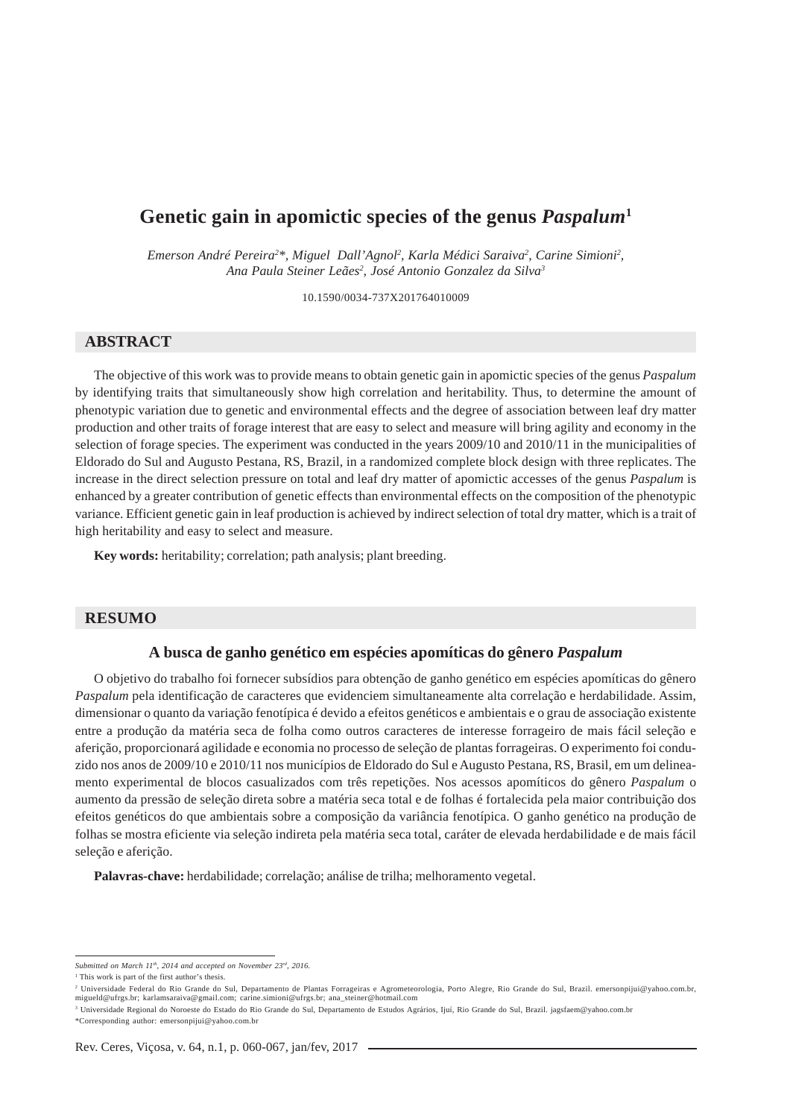# **Genetic gain in apomictic species of the genus** *Paspalum***<sup>1</sup>**

*Emerson André Pereira<sup>2</sup>\*, Miguel Dall'Agnol<sup>2</sup> , Karla Médici Saraiva<sup>2</sup> , Carine Simioni<sup>2</sup> , Ana Paula Steiner Leães<sup>2</sup> , José Antonio Gonzalez da Silva<sup>3</sup>*

10.1590/0034-737X201764010009

# **ABSTRACT**

The objective of this work was to provide means to obtain genetic gain in apomictic species of the genus *Paspalum* by identifying traits that simultaneously show high correlation and heritability. Thus, to determine the amount of phenotypic variation due to genetic and environmental effects and the degree of association between leaf dry matter production and other traits of forage interest that are easy to select and measure will bring agility and economy in the selection of forage species. The experiment was conducted in the years 2009/10 and 2010/11 in the municipalities of Eldorado do Sul and Augusto Pestana, RS, Brazil, in a randomized complete block design with three replicates. The increase in the direct selection pressure on total and leaf dry matter of apomictic accesses of the genus *Paspalum* is enhanced by a greater contribution of genetic effects than environmental effects on the composition of the phenotypic variance. Efficient genetic gain in leaf production is achieved by indirect selection of total dry matter, which is a trait of high heritability and easy to select and measure.

**Key words:** heritability; correlation; path analysis; plant breeding.

## **RESUMO**

#### **A busca de ganho genético em espécies apomíticas do gênero** *Paspalum*

O objetivo do trabalho foi fornecer subsídios para obtenção de ganho genético em espécies apomíticas do gênero *Paspalum* pela identificação de caracteres que evidenciem simultaneamente alta correlação e herdabilidade. Assim, dimensionar o quanto da variação fenotípica é devido a efeitos genéticos e ambientais e o grau de associação existente entre a produção da matéria seca de folha como outros caracteres de interesse forrageiro de mais fácil seleção e aferição, proporcionará agilidade e economia no processo de seleção de plantas forrageiras. O experimento foi conduzido nos anos de 2009/10 e 2010/11 nos municípios de Eldorado do Sul e Augusto Pestana, RS, Brasil, em um delineamento experimental de blocos casualizados com três repetições. Nos acessos apomíticos do gênero *Paspalum* o aumento da pressão de seleção direta sobre a matéria seca total e de folhas é fortalecida pela maior contribuição dos efeitos genéticos do que ambientais sobre a composição da variância fenotípica. O ganho genético na produção de folhas se mostra eficiente via seleção indireta pela matéria seca total, caráter de elevada herdabilidade e de mais fácil seleção e aferição.

**Palavras-chave:** herdabilidade; correlação; análise de trilha; melhoramento vegetal.

Submitted on March 11<sup>th</sup>, 2014 and accepted on November 23<sup>rd</sup>, 2016.

<sup>&</sup>lt;sup>1</sup> This work is part of the first author's thesis.

<sup>2</sup> Universidade Federal do Rio Grande do Sul, Departamento de Plantas Forrageiras e Agrometeorologia, Porto Alegre, Rio Grande do Sul, Brazil. emersonpijui@yahoo.com.br, migueld@ufrgs.br; karlamsaraiva@gmail.com; carine.simioni@ufrgs.br; ana\_steiner@hotmail.com

<sup>3</sup> Universidade Regional do Noroeste do Estado do Rio Grande do Sul, Departamento de Estudos Agrários, Ijuí, Rio Grande do Sul, Brazil. jagsfaem@yahoo.com.br

<sup>\*</sup>Corresponding author: emersonpijui@yahoo.com.br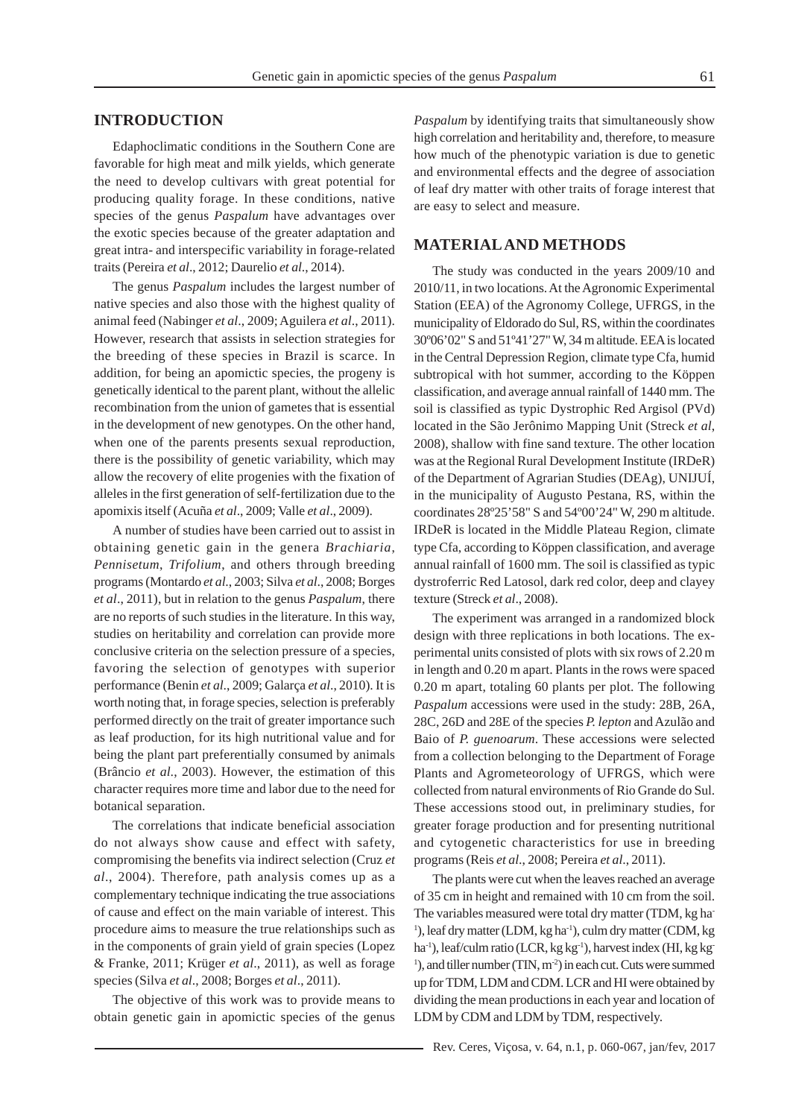#### **INTRODUCTION**

Edaphoclimatic conditions in the Southern Cone are favorable for high meat and milk yields, which generate the need to develop cultivars with great potential for producing quality forage. In these conditions, native species of the genus *Paspalum* have advantages over the exotic species because of the greater adaptation and great intra- and interspecific variability in forage-related traits (Pereira *et al*., 2012; Daurelio *et al*., 2014).

The genus *Paspalum* includes the largest number of native species and also those with the highest quality of animal feed (Nabinger *et al*., 2009; Aguilera *et al*., 2011). However, research that assists in selection strategies for the breeding of these species in Brazil is scarce. In addition, for being an apomictic species, the progeny is genetically identical to the parent plant, without the allelic recombination from the union of gametes that is essential in the development of new genotypes. On the other hand, when one of the parents presents sexual reproduction, there is the possibility of genetic variability, which may allow the recovery of elite progenies with the fixation of alleles in the first generation of self-fertilization due to the apomixis itself (Acuña *et al*., 2009; Valle *et al*., 2009).

A number of studies have been carried out to assist in obtaining genetic gain in the genera *Brachiaria*, *Pennisetum*, *Trifolium*, and others through breeding programs (Montardo *et al*., 2003; Silva *et al*., 2008; Borges *et al*., 2011), but in relation to the genus *Paspalum*, there are no reports of such studies in the literature. In this way, studies on heritability and correlation can provide more conclusive criteria on the selection pressure of a species, favoring the selection of genotypes with superior performance (Benin *et al*., 2009; Galarça *et al*., 2010). It is worth noting that, in forage species, selection is preferably performed directly on the trait of greater importance such as leaf production, for its high nutritional value and for being the plant part preferentially consumed by animals (Brâncio *et al*., 2003). However, the estimation of this character requires more time and labor due to the need for botanical separation.

The correlations that indicate beneficial association do not always show cause and effect with safety, compromising the benefits via indirect selection (Cruz *et al*., 2004). Therefore, path analysis comes up as a complementary technique indicating the true associations of cause and effect on the main variable of interest. This procedure aims to measure the true relationships such as in the components of grain yield of grain species (Lopez & Franke, 2011; Krüger *et al*., 2011), as well as forage species (Silva *et al*., 2008; Borges *et al*., 2011).

The objective of this work was to provide means to obtain genetic gain in apomictic species of the genus

*Paspalum* by identifying traits that simultaneously show high correlation and heritability and, therefore, to measure how much of the phenotypic variation is due to genetic and environmental effects and the degree of association of leaf dry matter with other traits of forage interest that are easy to select and measure.

## **MATERIALAND METHODS**

The study was conducted in the years 2009/10 and 2010/11, in two locations. At the Agronomic Experimental Station (EEA) of the Agronomy College, UFRGS, in the municipality of Eldorado do Sul, RS, within the coordinates 30º06'02" S and 51º41'27" W, 34 m altitude. EEA is located in the Central Depression Region, climate type Cfa, humid subtropical with hot summer, according to the Köppen classification, and average annual rainfall of 1440 mm. The soil is classified as typic Dystrophic Red Argisol (PVd) located in the São Jerônimo Mapping Unit (Streck *et al*, 2008), shallow with fine sand texture. The other location was at the Regional Rural Development Institute (IRDeR) of the Department of Agrarian Studies (DEAg), UNIJUÍ, in the municipality of Augusto Pestana, RS, within the coordinates 28º25'58" S and 54º00'24" W, 290 m altitude. IRDeR is located in the Middle Plateau Region, climate type Cfa, according to Köppen classification, and average annual rainfall of 1600 mm. The soil is classified as typic dystroferric Red Latosol, dark red color, deep and clayey texture (Streck *et al*., 2008).

The experiment was arranged in a randomized block design with three replications in both locations. The experimental units consisted of plots with six rows of 2.20 m in length and 0.20 m apart. Plants in the rows were spaced 0.20 m apart, totaling 60 plants per plot. The following *Paspalum* accessions were used in the study: 28B, 26A, 28C, 26D and 28E of the species *P. lepton* and Azulão and Baio of *P. guenoarum*. These accessions were selected from a collection belonging to the Department of Forage Plants and Agrometeorology of UFRGS, which were collected from natural environments of Rio Grande do Sul. These accessions stood out, in preliminary studies, for greater forage production and for presenting nutritional and cytogenetic characteristics for use in breeding programs (Reis *et al*., 2008; Pereira *et al*., 2011).

The plants were cut when the leaves reached an average of 35 cm in height and remained with 10 cm from the soil. The variables measured were total dry matter (TDM, kg ha-<sup>1</sup>), leaf dry matter (LDM, kg ha<sup>-1</sup>), culm dry matter (CDM, kg ha<sup>-1</sup>), leaf/culm ratio (LCR, kg kg<sup>-1</sup>), harvest index (HI, kg kg- $1$ ), and tiller number (TIN,  $m<sup>2</sup>$ ) in each cut. Cuts were summed up for TDM, LDM and CDM. LCR and HI were obtained by dividing the mean productions in each year and location of LDM by CDM and LDM by TDM, respectively.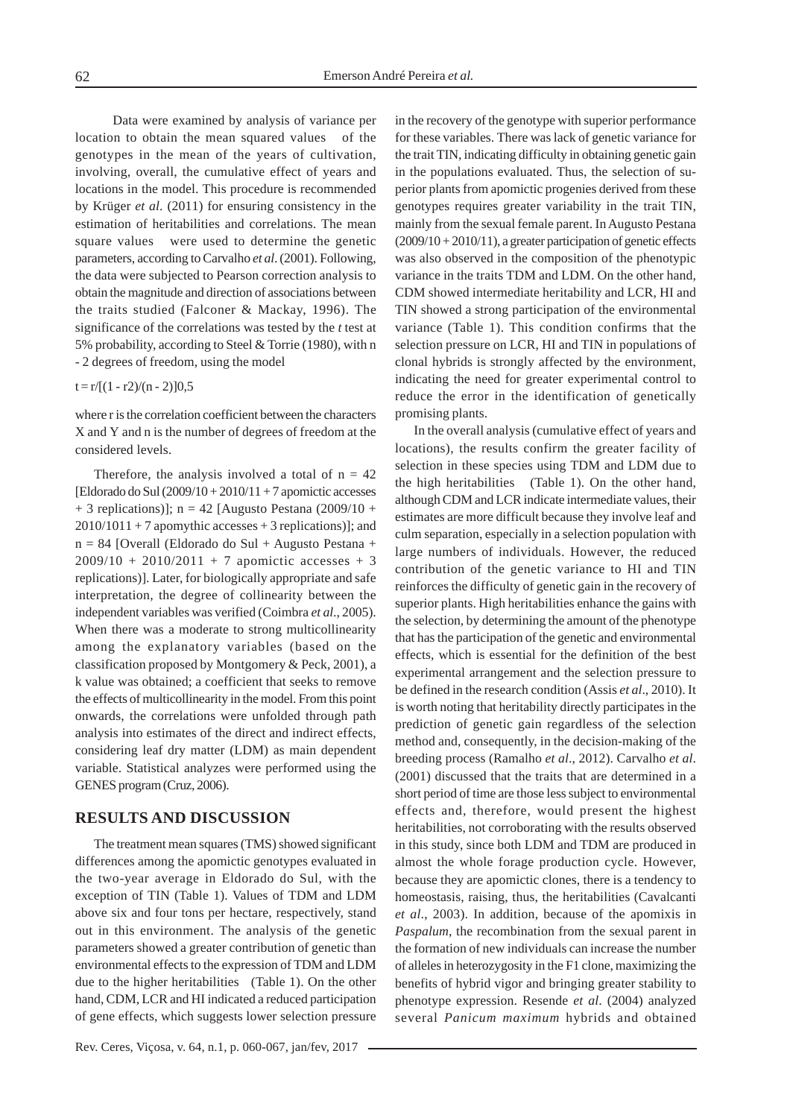Data were examined by analysis of variance per location to obtain the mean squared values of the genotypes in the mean of the years of cultivation, involving, overall, the cumulative effect of years and locations in the model. This procedure is recommended by Krüger *et al*. (2011) for ensuring consistency in the estimation of heritabilities and correlations. The mean square values were used to determine the genetic parameters, according to Carvalho *et al*. (2001). Following, the data were subjected to Pearson correction analysis to obtain the magnitude and direction of associations between the traits studied (Falconer & Mackay, 1996). The significance of the correlations was tested by the *t* test at 5% probability, according to Steel & Torrie (1980), with n - 2 degrees of freedom, using the model

 $t = r/[(1 - r^2)/(n - 2)]0,5$ 

where r is the correlation coefficient between the characters X and Y and n is the number of degrees of freedom at the considered levels.

Therefore, the analysis involved a total of  $n = 42$ [Eldorado do Sul $(2009/10 + 2010/11 + 7$  apomictic accesses  $+ 3$  replications)]; n = 42 [Augusto Pestana (2009/10 +  $2010/1011 + 7$  apomythic accesses  $+ 3$  replications)]; and n = 84 [Overall (Eldorado do Sul + Augusto Pestana +  $2009/10 + 2010/2011 + 7$  apomictic accesses + 3 replications)]. Later, for biologically appropriate and safe interpretation, the degree of collinearity between the independent variables was verified (Coimbra *et al*., 2005). When there was a moderate to strong multicollinearity among the explanatory variables (based on the classification proposed by Montgomery & Peck, 2001), a k value was obtained; a coefficient that seeks to remove the effects of multicollinearity in the model. From this point onwards, the correlations were unfolded through path analysis into estimates of the direct and indirect effects, considering leaf dry matter (LDM) as main dependent variable. Statistical analyzes were performed using the GENES program (Cruz, 2006).

## **RESULTS AND DISCUSSION**

The treatment mean squares (TMS) showed significant differences among the apomictic genotypes evaluated in the two-year average in Eldorado do Sul, with the exception of TIN (Table 1). Values of TDM and LDM above six and four tons per hectare, respectively, stand out in this environment. The analysis of the genetic parameters showed a greater contribution of genetic than environmental effects to the expression of TDM and LDM due to the higher heritabilities (Table 1). On the other hand, CDM, LCR and HI indicated a reduced participation of gene effects, which suggests lower selection pressure

Rev. Ceres, Viçosa, v. 64, n.1, p. 060-067, jan/fev, 2017

in the recovery of the genotype with superior performance for these variables. There was lack of genetic variance for the trait TIN, indicating difficulty in obtaining genetic gain in the populations evaluated. Thus, the selection of superior plants from apomictic progenies derived from these genotypes requires greater variability in the trait TIN, mainly from the sexual female parent. In Augusto Pestana  $(2009/10 + 2010/11)$ , a greater participation of genetic effects was also observed in the composition of the phenotypic variance in the traits TDM and LDM. On the other hand, CDM showed intermediate heritability and LCR, HI and TIN showed a strong participation of the environmental variance (Table 1). This condition confirms that the selection pressure on LCR, HI and TIN in populations of clonal hybrids is strongly affected by the environment, indicating the need for greater experimental control to reduce the error in the identification of genetically promising plants.

In the overall analysis (cumulative effect of years and locations), the results confirm the greater facility of selection in these species using TDM and LDM due to the high heritabilities (Table 1). On the other hand, although CDM and LCR indicate intermediate values, their estimates are more difficult because they involve leaf and culm separation, especially in a selection population with large numbers of individuals. However, the reduced contribution of the genetic variance to HI and TIN reinforces the difficulty of genetic gain in the recovery of superior plants. High heritabilities enhance the gains with the selection, by determining the amount of the phenotype that has the participation of the genetic and environmental effects, which is essential for the definition of the best experimental arrangement and the selection pressure to be defined in the research condition (Assis *et al*., 2010). It is worth noting that heritability directly participates in the prediction of genetic gain regardless of the selection method and, consequently, in the decision-making of the breeding process (Ramalho *et al*., 2012). Carvalho *et al*. (2001) discussed that the traits that are determined in a short period of time are those less subject to environmental effects and, therefore, would present the highest heritabilities, not corroborating with the results observed in this study, since both LDM and TDM are produced in almost the whole forage production cycle. However, because they are apomictic clones, there is a tendency to homeostasis, raising, thus, the heritabilities (Cavalcanti *et al*., 2003). In addition, because of the apomixis in *Paspalum*, the recombination from the sexual parent in the formation of new individuals can increase the number of alleles in heterozygosity in the F1 clone, maximizing the benefits of hybrid vigor and bringing greater stability to phenotype expression. Resende *et al*. (2004) analyzed several *Panicum maximum* hybrids and obtained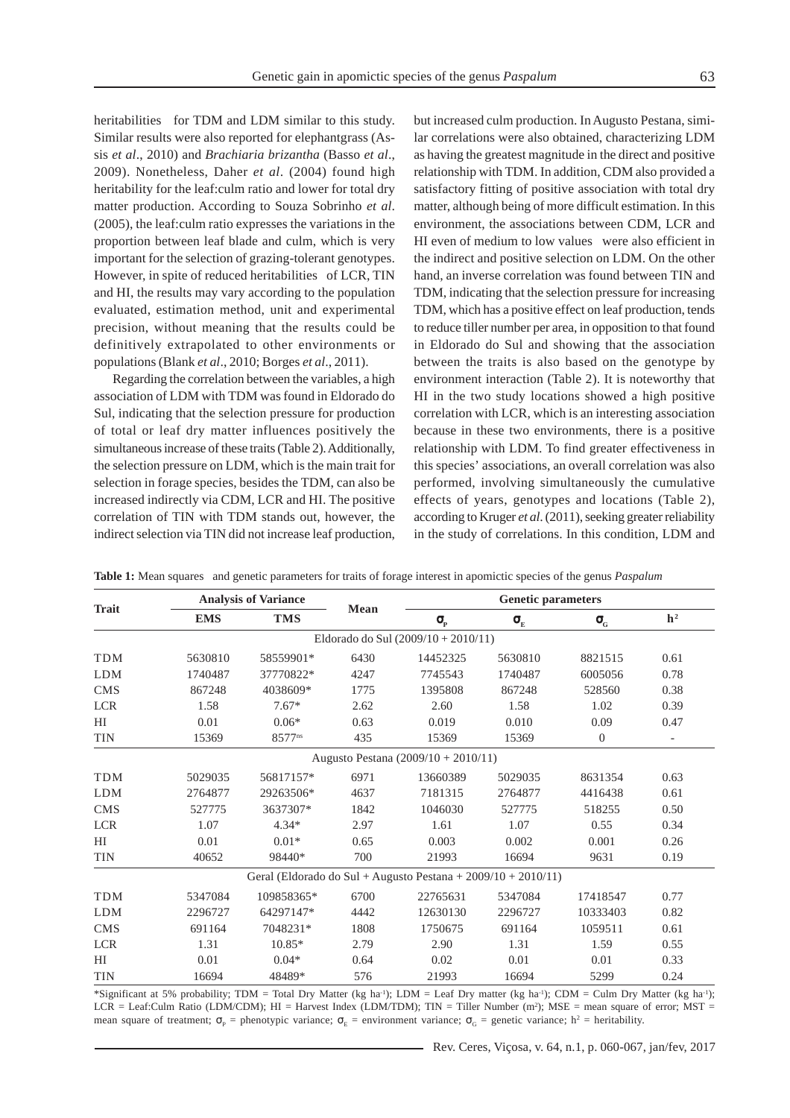heritabilities for TDM and LDM similar to this study. Similar results were also reported for elephantgrass (Assis *et al*., 2010) and *Brachiaria brizantha* (Basso *et al*., 2009). Nonetheless, Daher *et al*. (2004) found high heritability for the leaf:culm ratio and lower for total dry matter production. According to Souza Sobrinho *et al*. (2005), the leaf:culm ratio expresses the variations in the proportion between leaf blade and culm, which is very important for the selection of grazing-tolerant genotypes. However, in spite of reduced heritabilities of LCR, TIN and HI, the results may vary according to the population evaluated, estimation method, unit and experimental precision, without meaning that the results could be definitively extrapolated to other environments or populations (Blank *et al*., 2010; Borges *et al*., 2011).

Regarding the correlation between the variables, a high association of LDM with TDM was found in Eldorado do Sul, indicating that the selection pressure for production of total or leaf dry matter influences positively the simultaneous increase of these traits (Table 2). Additionally, the selection pressure on LDM, which is the main trait for selection in forage species, besides the TDM, can also be increased indirectly via CDM, LCR and HI. The positive correlation of TIN with TDM stands out, however, the indirect selection via TIN did not increase leaf production, but increased culm production. In Augusto Pestana, similar correlations were also obtained, characterizing LDM as having the greatest magnitude in the direct and positive relationship with TDM. In addition, CDM also provided a satisfactory fitting of positive association with total dry matter, although being of more difficult estimation. In this environment, the associations between CDM, LCR and HI even of medium to low values were also efficient in the indirect and positive selection on LDM. On the other hand, an inverse correlation was found between TIN and TDM, indicating that the selection pressure for increasing TDM, which has a positive effect on leaf production, tends to reduce tiller number per area, in opposition to that found in Eldorado do Sul and showing that the association between the traits is also based on the genotype by environment interaction (Table 2). It is noteworthy that HI in the two study locations showed a high positive correlation with LCR, which is an interesting association because in these two environments, there is a positive relationship with LDM. To find greater effectiveness in this species' associations, an overall correlation was also performed, involving simultaneously the cumulative effects of years, genotypes and locations (Table 2), according to Kruger *et al*. (2011), seeking greater reliability in the study of correlations. In this condition, LDM and

| <b>Trait</b>                          | <b>Analysis of Variance</b> |                                                                  |      | <b>Genetic parameters</b>             |                   |                                   |                          |
|---------------------------------------|-----------------------------|------------------------------------------------------------------|------|---------------------------------------|-------------------|-----------------------------------|--------------------------|
|                                       | <b>EMS</b>                  | <b>TMS</b>                                                       | Mean | $\sigma_{\rm p}$                      | $\sigma_{\rm _E}$ | $\sigma_{\!\scriptscriptstyle G}$ | $h^2$                    |
| Eldorado do Sul $(2009/10 + 2010/11)$ |                             |                                                                  |      |                                       |                   |                                   |                          |
| <b>TDM</b>                            | 5630810                     | 58559901*                                                        | 6430 | 14452325                              | 5630810           | 8821515                           | 0.61                     |
| <b>LDM</b>                            | 1740487                     | 37770822*                                                        | 4247 | 7745543                               | 1740487           | 6005056                           | 0.78                     |
| <b>CMS</b>                            | 867248                      | 4038609*                                                         | 1775 | 1395808                               | 867248            | 528560                            | 0.38                     |
| <b>LCR</b>                            | 1.58                        | $7.67*$                                                          | 2.62 | 2.60                                  | 1.58              | 1.02                              | 0.39                     |
| HI                                    | 0.01                        | $0.06*$                                                          | 0.63 | 0.019                                 | 0.010             | 0.09                              | 0.47                     |
| <b>TIN</b>                            | 15369                       | 8577 <sup>ns</sup>                                               | 435  | 15369                                 | 15369             | $\mathbf{0}$                      | $\overline{\phantom{a}}$ |
|                                       |                             |                                                                  |      | Augusto Pestana $(2009/10 + 2010/11)$ |                   |                                   |                          |
| <b>TDM</b>                            | 5029035                     | 56817157*                                                        | 6971 | 13660389                              | 5029035           | 8631354                           | 0.63                     |
| <b>LDM</b>                            | 2764877                     | 29263506*                                                        | 4637 | 7181315                               | 2764877           | 4416438                           | 0.61                     |
| <b>CMS</b>                            | 527775                      | 3637307*                                                         | 1842 | 1046030                               | 527775            | 518255                            | 0.50                     |
| <b>LCR</b>                            | 1.07                        | $4.34*$                                                          | 2.97 | 1.61                                  | 1.07              | 0.55                              | 0.34                     |
| H1                                    | 0.01                        | $0.01*$                                                          | 0.65 | 0.003                                 | 0.002             | 0.001                             | 0.26                     |
| <b>TIN</b>                            | 40652                       | 98440*                                                           | 700  | 21993                                 | 16694             | 9631                              | 0.19                     |
|                                       |                             | Geral (Eldorado do Sul + Augusto Pestana + $2009/10 + 2010/11$ ) |      |                                       |                   |                                   |                          |
| <b>TDM</b>                            | 5347084                     | 109858365*                                                       | 6700 | 22765631                              | 5347084           | 17418547                          | 0.77                     |
| <b>LDM</b>                            | 2296727                     | 64297147*                                                        | 4442 | 12630130                              | 2296727           | 10333403                          | 0.82                     |
| <b>CMS</b>                            | 691164                      | 7048231*                                                         | 1808 | 1750675                               | 691164            | 1059511                           | 0.61                     |
| <b>LCR</b>                            | 1.31                        | $10.85*$                                                         | 2.79 | 2.90                                  | 1.31              | 1.59                              | 0.55                     |
| HI                                    | 0.01                        | $0.04*$                                                          | 0.64 | 0.02                                  | 0.01              | 0.01                              | 0.33                     |
| <b>TIN</b>                            | 16694                       | 48489*                                                           | 576  | 21993                                 | 16694             | 5299                              | 0.24                     |

**Table 1:** Mean squares and genetic parameters for traits of forage interest in apomictic species of the genus *Paspalum*

\*Significant at 5% probability; TDM = Total Dry Matter (kg ha-1); LDM = Leaf Dry matter (kg ha-1); CDM = Culm Dry Matter (kg ha-1);  $LCR =$  Leaf:Culm Ratio (LDM/CDM); HI = Harvest Index (LDM/TDM); TIN = Tiller Number (m<sup>2</sup>); MSE = mean square of error; MST = mean square of treatment;  $\sigma_p$  = phenotypic variance;  $\sigma_E$  = environment variance;  $\sigma_G$  = genetic variance;  $h^2$  = heritability.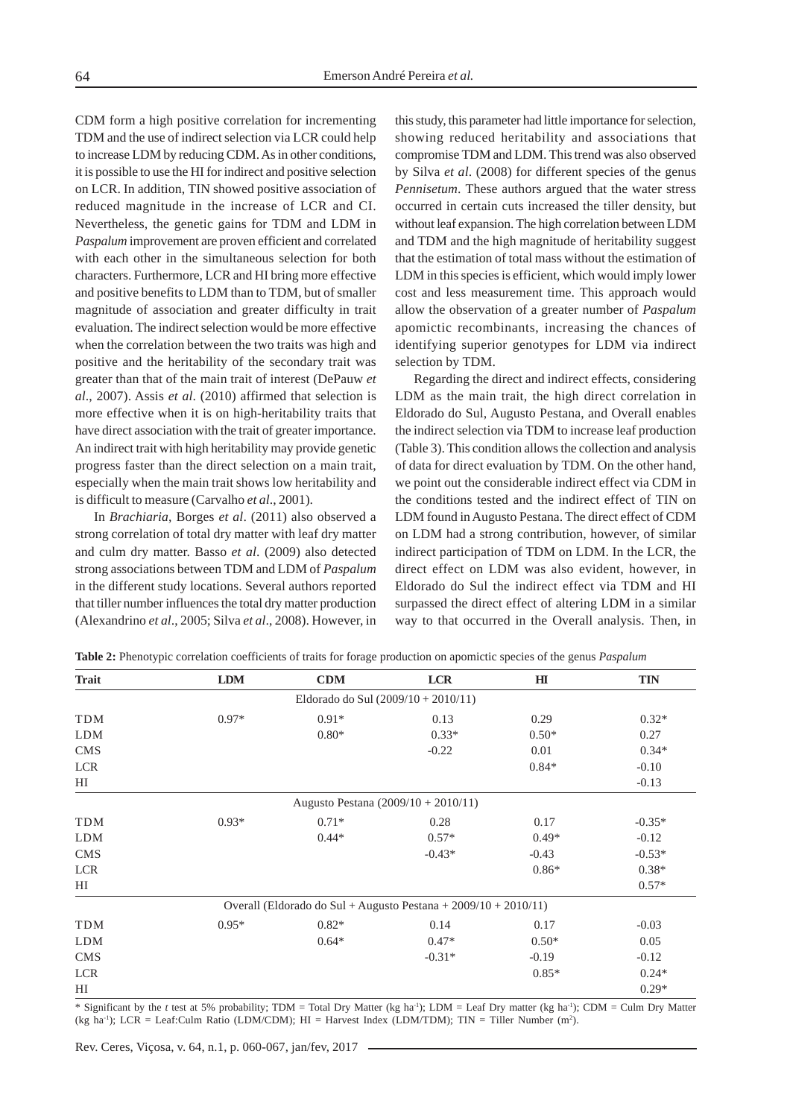CDM form a high positive correlation for incrementing TDM and the use of indirect selection via LCR could help to increase LDM by reducing CDM. As in other conditions, it is possible to use the HI for indirect and positive selection on LCR. In addition, TIN showed positive association of reduced magnitude in the increase of LCR and CI. Nevertheless, the genetic gains for TDM and LDM in *Paspalum* improvement are proven efficient and correlated with each other in the simultaneous selection for both characters. Furthermore, LCR and HI bring more effective and positive benefits to LDM than to TDM, but of smaller magnitude of association and greater difficulty in trait evaluation. The indirect selection would be more effective when the correlation between the two traits was high and positive and the heritability of the secondary trait was greater than that of the main trait of interest (DePauw *et al*., 2007). Assis *et al*. (2010) affirmed that selection is more effective when it is on high-heritability traits that have direct association with the trait of greater importance. An indirect trait with high heritability may provide genetic progress faster than the direct selection on a main trait, especially when the main trait shows low heritability and is difficult to measure (Carvalho *et al*., 2001).

In *Brachiaria*, Borges *et al*. (2011) also observed a strong correlation of total dry matter with leaf dry matter and culm dry matter. Basso *et al*. (2009) also detected strong associations between TDM and LDM of *Paspalum* in the different study locations. Several authors reported that tiller number influences the total dry matter production (Alexandrino *et al*., 2005; Silva *et al*., 2008). However, in this study, this parameter had little importance for selection, showing reduced heritability and associations that compromise TDM and LDM. This trend was also observed by Silva *et al*. (2008) for different species of the genus *Pennisetum*. These authors argued that the water stress occurred in certain cuts increased the tiller density, but without leaf expansion. The high correlation between LDM and TDM and the high magnitude of heritability suggest that the estimation of total mass without the estimation of LDM in this species is efficient, which would imply lower cost and less measurement time. This approach would allow the observation of a greater number of *Paspalum* apomictic recombinants, increasing the chances of identifying superior genotypes for LDM via indirect selection by TDM.

Regarding the direct and indirect effects, considering LDM as the main trait, the high direct correlation in Eldorado do Sul, Augusto Pestana, and Overall enables the indirect selection via TDM to increase leaf production (Table 3). This condition allows the collection and analysis of data for direct evaluation by TDM. On the other hand, we point out the considerable indirect effect via CDM in the conditions tested and the indirect effect of TIN on LDM found in Augusto Pestana. The direct effect of CDM on LDM had a strong contribution, however, of similar indirect participation of TDM on LDM. In the LCR, the direct effect on LDM was also evident, however, in Eldorado do Sul the indirect effect via TDM and HI surpassed the direct effect of altering LDM in a similar way to that occurred in the Overall analysis. Then, in

| <b>Trait</b> | <b>LDM</b> | <b>CDM</b> | <b>LCR</b>                                                      | $H\!I$  | <b>TIN</b> |
|--------------|------------|------------|-----------------------------------------------------------------|---------|------------|
|              |            |            | Eldorado do Sul $(2009/10 + 2010/11)$                           |         |            |
| <b>TDM</b>   | $0.97*$    | $0.91*$    | 0.13                                                            | 0.29    | $0.32*$    |
| <b>LDM</b>   |            | $0.80*$    | $0.33*$                                                         | $0.50*$ | 0.27       |
| <b>CMS</b>   |            |            | $-0.22$                                                         | 0.01    | $0.34*$    |
| LCR          |            |            |                                                                 | $0.84*$ | $-0.10$    |
| HI           |            |            |                                                                 |         | $-0.13$    |
|              |            |            | Augusto Pestana $(2009/10 + 2010/11)$                           |         |            |
| <b>TDM</b>   | $0.93*$    | $0.71*$    | 0.28                                                            | 0.17    | $-0.35*$   |
| <b>LDM</b>   |            | $0.44*$    | $0.57*$                                                         | $0.49*$ | $-0.12$    |
| <b>CMS</b>   |            |            | $-0.43*$                                                        | $-0.43$ | $-0.53*$   |
| LCR          |            |            |                                                                 | $0.86*$ | $0.38*$    |
| HI           |            |            |                                                                 |         | $0.57*$    |
|              |            |            | Overall (Eldorado do Sul + Augusto Pestana + 2009/10 + 2010/11) |         |            |
| TDM          | $0.95*$    | $0.82*$    | 0.14                                                            | 0.17    | $-0.03$    |
| <b>LDM</b>   |            | $0.64*$    | $0.47*$                                                         | $0.50*$ | 0.05       |
| <b>CMS</b>   |            |            | $-0.31*$                                                        | $-0.19$ | $-0.12$    |
| <b>LCR</b>   |            |            |                                                                 | $0.85*$ | $0.24*$    |
| HI           |            |            |                                                                 |         | $0.29*$    |

**Table 2:** Phenotypic correlation coefficients of traits for forage production on apomictic species of the genus *Paspalum*

\* Significant by the *t* test at 5% probability; TDM = Total Dry Matter (kg ha-1); LDM = Leaf Dry matter (kg ha-1); CDM = Culm Dry Matter (kg ha<sup>-1</sup>); LCR = Leaf:Culm Ratio (LDM/CDM); HI = Harvest Index (LDM/TDM); TIN = Tiller Number (m<sup>2</sup>).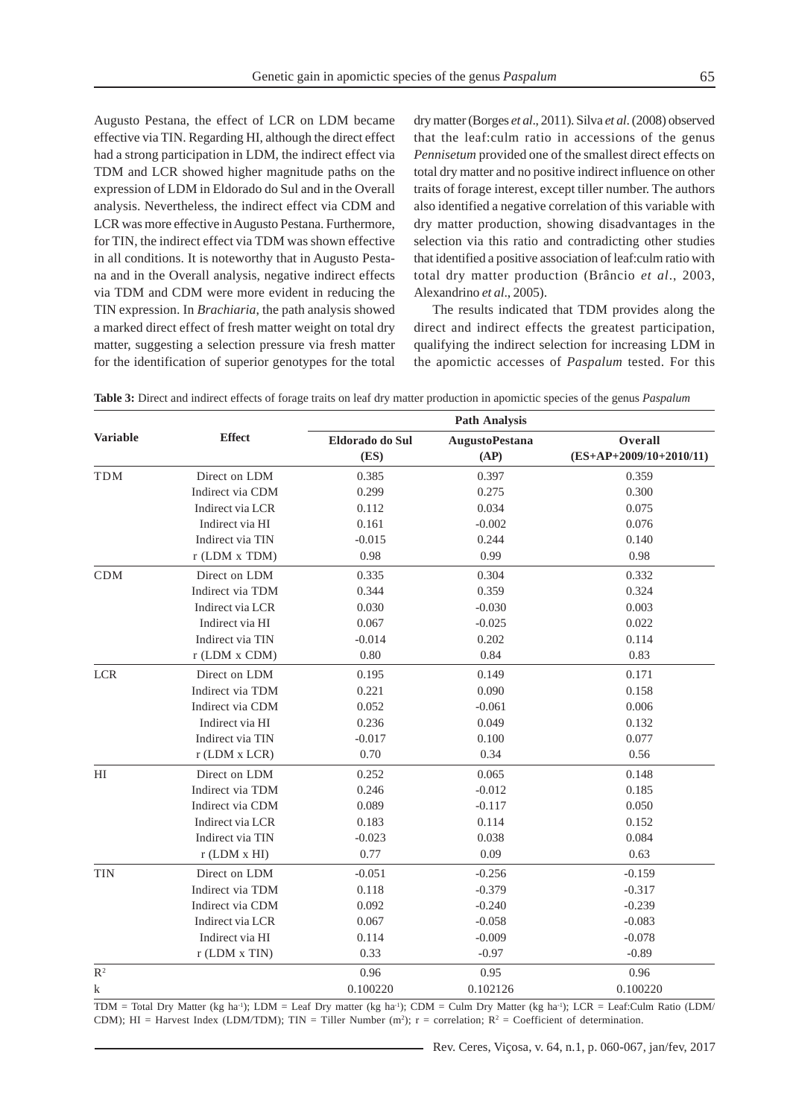Augusto Pestana, the effect of LCR on LDM became effective via TIN. Regarding HI, although the direct effect had a strong participation in LDM, the indirect effect via TDM and LCR showed higher magnitude paths on the expression of LDM in Eldorado do Sul and in the Overall analysis. Nevertheless, the indirect effect via CDM and LCR was more effective in Augusto Pestana. Furthermore, for TIN, the indirect effect via TDM was shown effective in all conditions. It is noteworthy that in Augusto Pestana and in the Overall analysis, negative indirect effects via TDM and CDM were more evident in reducing the TIN expression. In *Brachiaria*, the path analysis showed a marked direct effect of fresh matter weight on total dry matter, suggesting a selection pressure via fresh matter for the identification of superior genotypes for the total dry matter (Borges *et al*., 2011). Silva *et al*. (2008) observed that the leaf:culm ratio in accessions of the genus *Pennisetum* provided one of the smallest direct effects on total dry matter and no positive indirect influence on other traits of forage interest, except tiller number. The authors also identified a negative correlation of this variable with dry matter production, showing disadvantages in the selection via this ratio and contradicting other studies that identified a positive association of leaf:culm ratio with total dry matter production (Brâncio *et al*., 2003, Alexandrino *et al*., 2005).

The results indicated that TDM provides along the direct and indirect effects the greatest participation, qualifying the indirect selection for increasing LDM in the apomictic accesses of *Paspalum* tested. For this

|                 |                  | <b>Path Analysis</b> |                       |                                      |  |  |  |
|-----------------|------------------|----------------------|-----------------------|--------------------------------------|--|--|--|
| <b>Variable</b> | <b>Effect</b>    | Eldorado do Sul      | <b>AugustoPestana</b> | Overall<br>$(ES+AP+2009/10+2010/11)$ |  |  |  |
|                 |                  | (ES)                 | (AP)                  |                                      |  |  |  |
| TDM             | Direct on LDM    | 0.385                | 0.397                 | 0.359                                |  |  |  |
|                 | Indirect via CDM | 0.299                | 0.275                 | 0.300                                |  |  |  |
|                 | Indirect via LCR | 0.112                | 0.034                 | 0.075                                |  |  |  |
|                 | Indirect via HI  | 0.161                | $-0.002$              | 0.076                                |  |  |  |
|                 | Indirect via TIN | $-0.015$             | 0.244                 | 0.140                                |  |  |  |
|                 | r (LDM x TDM)    | 0.98                 | 0.99                  | 0.98                                 |  |  |  |
| CDM             | Direct on LDM    | 0.335                | 0.304                 | 0.332                                |  |  |  |
|                 | Indirect via TDM | 0.344                | 0.359                 | 0.324                                |  |  |  |
|                 | Indirect via LCR | 0.030                | $-0.030$              | 0.003                                |  |  |  |
|                 | Indirect via HI  | 0.067                | $-0.025$              | 0.022                                |  |  |  |
|                 | Indirect via TIN | $-0.014$             | 0.202                 | 0.114                                |  |  |  |
|                 | $r$ (LDM x CDM)  | 0.80                 | 0.84                  | 0.83                                 |  |  |  |
| <b>LCR</b>      | Direct on LDM    | 0.195                | 0.149                 | 0.171                                |  |  |  |
|                 | Indirect via TDM | 0.221                | 0.090                 | 0.158                                |  |  |  |
|                 | Indirect via CDM | 0.052                | $-0.061$              | 0.006                                |  |  |  |
|                 | Indirect via HI  | 0.236                | 0.049                 | 0.132                                |  |  |  |
|                 | Indirect via TIN | $-0.017$             | 0.100                 | 0.077                                |  |  |  |
|                 | $r$ (LDM x LCR)  | 0.70                 | 0.34                  | 0.56                                 |  |  |  |
| HI              | Direct on LDM    | 0.252                | 0.065                 | 0.148                                |  |  |  |
|                 | Indirect via TDM | 0.246                | $-0.012$              | 0.185                                |  |  |  |
|                 | Indirect via CDM | 0.089                | $-0.117$              | 0.050                                |  |  |  |
|                 | Indirect via LCR | 0.183                | 0.114                 | 0.152                                |  |  |  |
|                 | Indirect via TIN | $-0.023$             | 0.038                 | 0.084                                |  |  |  |
|                 | $r$ (LDM $x$ HI) | 0.77                 | 0.09                  | 0.63                                 |  |  |  |
| <b>TIN</b>      | Direct on LDM    | $-0.051$             | $-0.256$              | $-0.159$                             |  |  |  |
|                 | Indirect via TDM | 0.118                | $-0.379$              | $-0.317$                             |  |  |  |
|                 | Indirect via CDM | 0.092                | $-0.240$              | $-0.239$                             |  |  |  |
|                 | Indirect via LCR | 0.067                | $-0.058$              | $-0.083$                             |  |  |  |
|                 | Indirect via HI  | 0.114                | $-0.009$              | $-0.078$                             |  |  |  |
|                 | r (LDM x TIN)    | 0.33                 | $-0.97$               | $-0.89$                              |  |  |  |
| $R^2$           |                  | 0.96                 | 0.95                  | 0.96                                 |  |  |  |
| k               |                  | 0.100220             | 0.102126              | 0.100220                             |  |  |  |

**Table 3:** Direct and indirect effects of forage traits on leaf dry matter production in apomictic species of the genus *Paspalum*

TDM = Total Dry Matter (kg ha<sup>-1</sup>); LDM = Leaf Dry matter (kg ha<sup>-1</sup>); CDM = Culm Dry Matter (kg ha<sup>-1</sup>); LCR = Leaf:Culm Ratio (LDM/ CDM); HI = Harvest Index (LDM/TDM); TIN = Tiller Number (m<sup>2</sup>); r = correlation; R<sup>2</sup> = Coefficient of determination.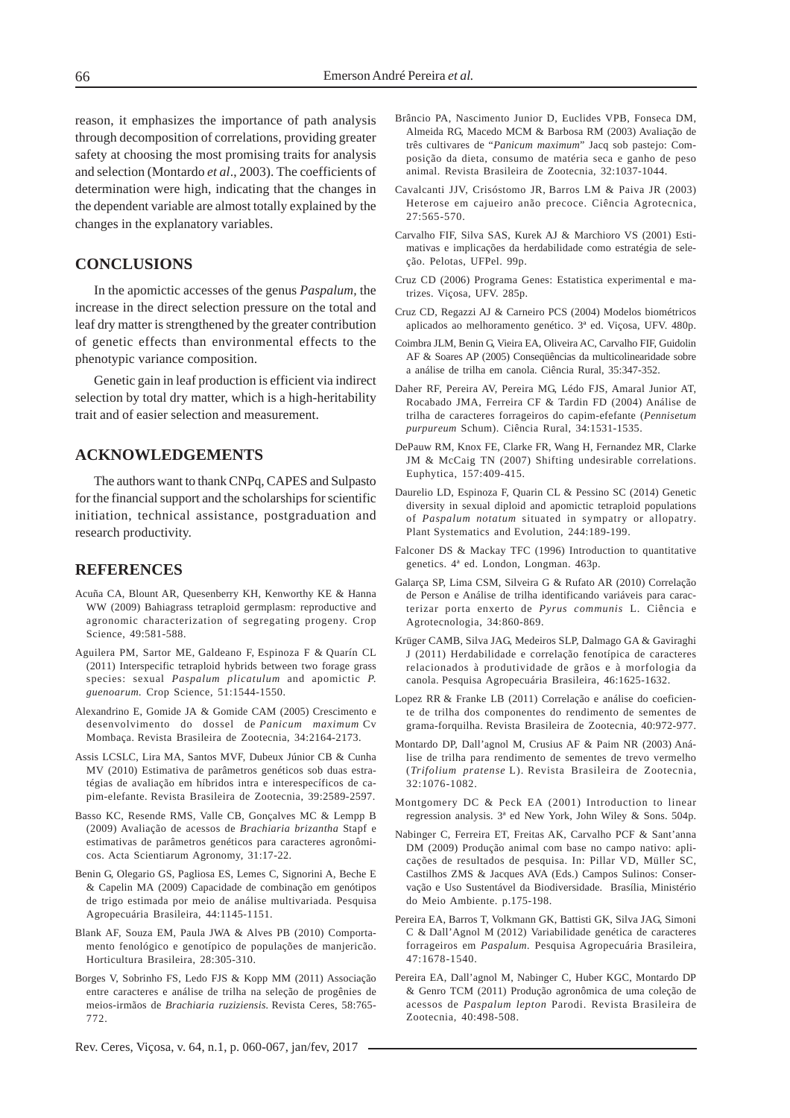reason, it emphasizes the importance of path analysis through decomposition of correlations, providing greater safety at choosing the most promising traits for analysis and selection (Montardo *et al*., 2003). The coefficients of determination were high, indicating that the changes in the dependent variable are almost totally explained by the changes in the explanatory variables.

# **CONCLUSIONS**

In the apomictic accesses of the genus *Paspalum,* the increase in the direct selection pressure on the total and leaf dry matter is strengthened by the greater contribution of genetic effects than environmental effects to the phenotypic variance composition.

Genetic gain in leaf production is efficient via indirect selection by total dry matter, which is a high-heritability trait and of easier selection and measurement.

## **ACKNOWLEDGEMENTS**

The authors want to thank CNPq, CAPES and Sulpasto for the financial support and the scholarships for scientific initiation, technical assistance, postgraduation and research productivity.

#### **REFERENCES**

- Acuña CA, Blount AR, Quesenberry KH, Kenworthy KE & Hanna WW (2009) Bahiagrass tetraploid germplasm: reproductive and agronomic characterization of segregating progeny. Crop Science, 49:581-588.
- Aguilera PM, Sartor ME, Galdeano F, Espinoza F & Quarín CL (2011) Interspecific tetraploid hybrids between two forage grass species: sexual *Paspalum plicatulum* and apomictic *P. guenoarum.* Crop Science, 51:1544-1550.
- Alexandrino E, Gomide JA & Gomide CAM (2005) Crescimento e desenvolvimento do dossel de *Panicum maximum* Cv Mombaça. Revista Brasileira de Zootecnia, 34:2164-2173.
- Assis LCSLC, Lira MA, Santos MVF, Dubeux Júnior CB & Cunha MV (2010) Estimativa de parâmetros genéticos sob duas estratégias de avaliação em híbridos intra e interespecíficos de capim-elefante. Revista Brasileira de Zootecnia, 39:2589-2597.
- Basso KC, Resende RMS, Valle CB, Gonçalves MC & Lempp B (2009) Avaliação de acessos de *Brachiaria brizantha* Stapf e estimativas de parâmetros genéticos para caracteres agronômicos. Acta Scientiarum Agronomy, 31:17-22.
- Benin G, Olegario GS, Pagliosa ES, Lemes C, Signorini A, Beche E & Capelin MA (2009) Capacidade de combinação em genótipos de trigo estimada por meio de análise multivariada. Pesquisa Agropecuária Brasileira, 44:1145-1151.
- Blank AF, Souza EM, Paula JWA & Alves PB (2010) Comportamento fenológico e genotípico de populações de manjericão. Horticultura Brasileira, 28:305-310.
- Borges V, Sobrinho FS, Ledo FJS & Kopp MM (2011) Associação entre caracteres e análise de trilha na seleção de progênies de meios-irmãos de *Brachiaria ruziziensis.* Revista Ceres, 58:765- 772.

Rev. Ceres, Viçosa, v. 64, n.1, p. 060-067, jan/fev, 2017

- Brâncio PA, Nascimento Junior D, Euclides VPB, Fonseca DM, Almeida RG, Macedo MCM & Barbosa RM (2003) Avaliação de três cultivares de "*Panicum maximum*" Jacq sob pastejo: Composição da dieta, consumo de matéria seca e ganho de peso animal. Revista Brasileira de Zootecnia, 32:1037-1044.
- Cavalcanti JJV, Crisóstomo JR, Barros LM & Paiva JR (2003) Heterose em cajueiro anão precoce. Ciência Agrotecnica, 27:565-570.
- Carvalho FIF, Silva SAS, Kurek AJ & Marchioro VS (2001) Estimativas e implicações da herdabilidade como estratégia de seleção. Pelotas, UFPel. 99p.
- Cruz CD (2006) Programa Genes: Estatistica experimental e matrizes. Viçosa, UFV. 285p.
- Cruz CD, Regazzi AJ & Carneiro PCS (2004) Modelos biométricos aplicados ao melhoramento genético. 3ª ed. Viçosa, UFV. 480p.
- Coimbra JLM, Benin G, Vieira EA, Oliveira AC, Carvalho FIF, Guidolin AF & Soares AP (2005) Conseqüências da multicolinearidade sobre a análise de trilha em canola. Ciência Rural, 35:347-352.
- Daher RF, Pereira AV, Pereira MG, Lédo FJS, Amaral Junior AT, Rocabado JMA, Ferreira CF & Tardin FD (2004) Análise de trilha de caracteres forrageiros do capim-efefante (*Pennisetum purpureum* Schum). Ciência Rural, 34:1531-1535.
- DePauw RM, Knox FE, Clarke FR, Wang H, Fernandez MR, Clarke JM & McCaig TN (2007) Shifting undesirable correlations. Euphytica, 157:409-415.
- Daurelio LD, Espinoza F, Quarin CL & Pessino SC (2014) Genetic diversity in sexual diploid and apomictic tetraploid populations of *Paspalum notatum* situated in sympatry or allopatry. Plant Systematics and Evolution, 244:189-199.
- Falconer DS & Mackay TFC (1996) Introduction to quantitative genetics. 4ª ed. London, Longman. 463p.
- Galarça SP, Lima CSM, Silveira G & Rufato AR (2010) Correlação de Person e Análise de trilha identificando variáveis para caracterizar porta enxerto de *Pyrus communis* L. Ciência e Agrotecnologia, 34:860-869.
- Krüger CAMB, Silva JAG, Medeiros SLP, Dalmago GA & Gaviraghi J (2011) Herdabilidade e correlação fenotípica de caracteres relacionados à produtividade de grãos e à morfologia da canola. Pesquisa Agropecuária Brasileira, 46:1625-1632.
- Lopez RR & Franke LB (2011) Correlação e análise do coeficiente de trilha dos componentes do rendimento de sementes de grama-forquilha. Revista Brasileira de Zootecnia, 40:972-977.
- Montardo DP, Dall'agnol M, Crusius AF & Paim NR (2003) Análise de trilha para rendimento de sementes de trevo vermelho (*Trifolium pratense* L). Revista Brasileira de Zootecnia, 32:1076-1082.
- Montgomery DC & Peck EA (2001) Introduction to linear regression analysis. 3ª ed New York, John Wiley & Sons. 504p.
- Nabinger C, Ferreira ET, Freitas AK, Carvalho PCF & Sant'anna DM (2009) Produção animal com base no campo nativo: aplicações de resultados de pesquisa. In: Pillar VD, Müller SC, Castilhos ZMS & Jacques AVA (Eds.) Campos Sulinos: Conservação e Uso Sustentável da Biodiversidade. Brasília, Ministério do Meio Ambiente. p.175-198.
- Pereira EA, Barros T, Volkmann GK, Battisti GK, Silva JAG, Simoni C & Dall'Agnol M (2012) Variabilidade genética de caracteres forrageiros em *Paspalum.* Pesquisa Agropecuária Brasileira, 47:1678-1540.
- Pereira EA, Dall'agnol M, Nabinger C, Huber KGC, Montardo DP & Genro TCM (2011) Produção agronômica de uma coleção de acessos de *Paspalum lepton* Parodi. Revista Brasileira de Zootecnia, 40:498-508.